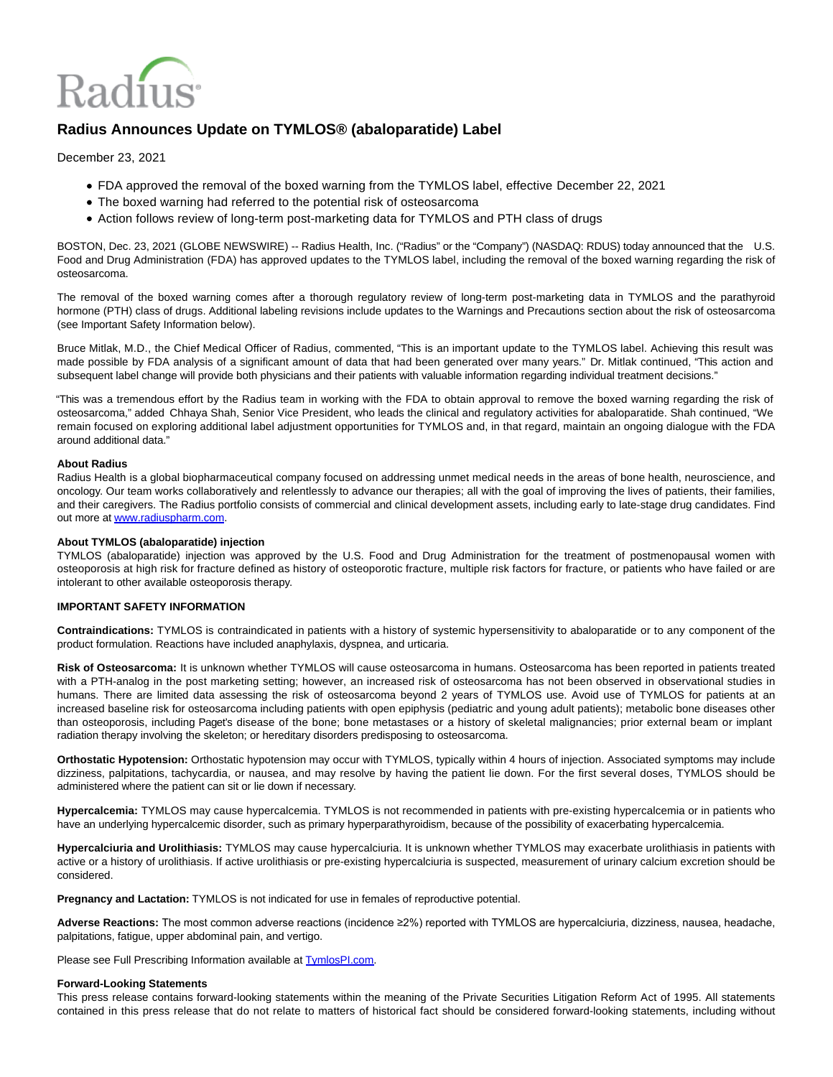

# **Radius Announces Update on TYMLOS® (abaloparatide) Label**

December 23, 2021

- FDA approved the removal of the boxed warning from the TYMLOS label, effective December 22, 2021
- The boxed warning had referred to the potential risk of osteosarcoma
- Action follows review of long-term post-marketing data for TYMLOS and PTH class of drugs

BOSTON, Dec. 23, 2021 (GLOBE NEWSWIRE) -- Radius Health, Inc. ("Radius" or the "Company") (NASDAQ: RDUS) today announced that the U.S. Food and Drug Administration (FDA) has approved updates to the TYMLOS label, including the removal of the boxed warning regarding the risk of osteosarcoma.

The removal of the boxed warning comes after a thorough regulatory review of long-term post-marketing data in TYMLOS and the parathyroid hormone (PTH) class of drugs. Additional labeling revisions include updates to the Warnings and Precautions section about the risk of osteosarcoma (see Important Safety Information below).

Bruce Mitlak, M.D., the Chief Medical Officer of Radius, commented, "This is an important update to the TYMLOS label. Achieving this result was made possible by FDA analysis of a significant amount of data that had been generated over many years." Dr. Mitlak continued, "This action and subsequent label change will provide both physicians and their patients with valuable information regarding individual treatment decisions."

"This was a tremendous effort by the Radius team in working with the FDA to obtain approval to remove the boxed warning regarding the risk of osteosarcoma," added Chhaya Shah, Senior Vice President, who leads the clinical and regulatory activities for abaloparatide. Shah continued, "We remain focused on exploring additional label adjustment opportunities for TYMLOS and, in that regard, maintain an ongoing dialogue with the FDA around additional data."

## **About Radius**

Radius Health is a global biopharmaceutical company focused on addressing unmet medical needs in the areas of bone health, neuroscience, and oncology. Our team works collaboratively and relentlessly to advance our therapies; all with the goal of improving the lives of patients, their families, and their caregivers. The Radius portfolio consists of commercial and clinical development assets, including early to late-stage drug candidates. Find out more a[t www.radiuspharm.com.](http://www.radiuspharm.com/)

## **About TYMLOS (abaloparatide) injection**

TYMLOS (abaloparatide) injection was approved by the U.S. Food and Drug Administration for the treatment of postmenopausal women with osteoporosis at high risk for fracture defined as history of osteoporotic fracture, multiple risk factors for fracture, or patients who have failed or are intolerant to other available osteoporosis therapy.

## **IMPORTANT SAFETY INFORMATION**

**Contraindications:** TYMLOS is contraindicated in patients with a history of systemic hypersensitivity to abaloparatide or to any component of the product formulation. Reactions have included anaphylaxis, dyspnea, and urticaria.

**Risk of Osteosarcoma:** It is unknown whether TYMLOS will cause osteosarcoma in humans. Osteosarcoma has been reported in patients treated with a PTH-analog in the post marketing setting; however, an increased risk of osteosarcoma has not been observed in observational studies in humans. There are limited data assessing the risk of osteosarcoma beyond 2 years of TYMLOS use. Avoid use of TYMLOS for patients at an increased baseline risk for osteosarcoma including patients with open epiphysis (pediatric and young adult patients); metabolic bone diseases other than osteoporosis, including Paget's disease of the bone; bone metastases or a history of skeletal malignancies; prior external beam or implant radiation therapy involving the skeleton; or hereditary disorders predisposing to osteosarcoma.

**Orthostatic Hypotension:** Orthostatic hypotension may occur with TYMLOS, typically within 4 hours of injection. Associated symptoms may include dizziness, palpitations, tachycardia, or nausea, and may resolve by having the patient lie down. For the first several doses, TYMLOS should be administered where the patient can sit or lie down if necessary.

**Hypercalcemia:** TYMLOS may cause hypercalcemia. TYMLOS is not recommended in patients with pre-existing hypercalcemia or in patients who have an underlying hypercalcemic disorder, such as primary hyperparathyroidism, because of the possibility of exacerbating hypercalcemia.

**Hypercalciuria and Urolithiasis:** TYMLOS may cause hypercalciuria. It is unknown whether TYMLOS may exacerbate urolithiasis in patients with active or a history of urolithiasis. If active urolithiasis or pre-existing hypercalciuria is suspected, measurement of urinary calcium excretion should be considered.

**Pregnancy and Lactation:** TYMLOS is not indicated for use in females of reproductive potential.

**Adverse Reactions:** The most common adverse reactions (incidence ≥2%) reported with TYMLOS are hypercalciuria, dizziness, nausea, headache, palpitations, fatigue, upper abdominal pain, and vertigo.

Please see Full Prescribing Information available at **TymlosPI.com**.

#### **Forward-Looking Statements**

This press release contains forward-looking statements within the meaning of the Private Securities Litigation Reform Act of 1995. All statements contained in this press release that do not relate to matters of historical fact should be considered forward-looking statements, including without